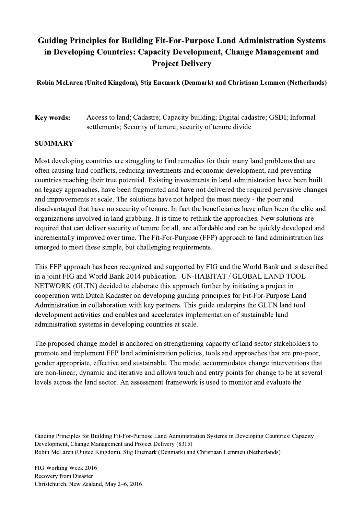## Guiding Principles for Building Fit-For-Purpose Land Administration Systems in Developing Countries: Capacity Development, Change Management and Project Delivery

Robin McLaren (United Kingdom), Stig Enemark (Denmark) and Christiaan Lemmen (Netherlands)

Key words: Access to land; Cadastre; Capacity building; Digital cadastre; GSDI; Informal settlements; Security of tenure; security of tenure divide

## **SUMMARY**

Most developing countries are struggling to find remedies for their many land problems that are often causing land conflicts, reducing investments and economic development, and preventing countries reaching their true potential. Existing investments in land administration have been built on legacy approaches, have been fragmented and have not delivered the required pervasive changes and improvements at scale. The solutions have not helped the most needy - the poor and disadvantaged that have no security of tenure. In fact the beneficiaries have often been the elite and organizations involved in land grabbing. It is time to rethink the approaches. New solutions are required that can deliver security of tenure for all, are affordable and can be quickly developed and incrementally improved over time. The Fit-For-Purpose (FFP) approach to land administration has emerged to meet these simple, but challenging requirements.

This FFP approach has been recognized and supported by FIG and the World Bank and is described in a joint FIG and World Bank 2014 publication. UN-HABITAT / GLOBAL LAND TOOL NETWORK (GLTN) decided to elaborate this approach further by initiating a project in cooperation with Dutch Kadaster on developing guiding principles for Fit-For-Purpose Land Administration in collaboration with key partners. This guide underpins the GLTN land tool development activities and enables and accelerates implementation of sustainable land administration systems in developing countries at scale.

The proposed change model is anchored on strengthening capacity of land sector stakeholders to promote and implement FFP land administration policies, tools and approaches that are pro-poor, gender appropriate, effective and sustainable. The model accommodates change interventions that are non-linear, dynamic and iterative and allows touch and entry points for change to be at several levels across the land sector. An assessment framework is used to monitor and evaluate the

Guiding Principles for Building Fit-For-Purpose Land Administration Systems in Developing Countries: Capacity Development, Change Management and Project Delivery (8315) Robin McLaren (United Kingdom), Stig Enemark (Denmark) and Christiaan Lemmen (Netherlands)

 $\mathcal{L}_\mathcal{L} = \{ \mathcal{L}_\mathcal{L} = \{ \mathcal{L}_\mathcal{L} = \{ \mathcal{L}_\mathcal{L} = \{ \mathcal{L}_\mathcal{L} = \{ \mathcal{L}_\mathcal{L} = \{ \mathcal{L}_\mathcal{L} = \{ \mathcal{L}_\mathcal{L} = \{ \mathcal{L}_\mathcal{L} = \{ \mathcal{L}_\mathcal{L} = \{ \mathcal{L}_\mathcal{L} = \{ \mathcal{L}_\mathcal{L} = \{ \mathcal{L}_\mathcal{L} = \{ \mathcal{L}_\mathcal{L} = \{ \mathcal{L}_\mathcal{$ 

FIG Working Week 2016 Recovery from Disaster Christchurch, New Zealand, May 2–6, 2016